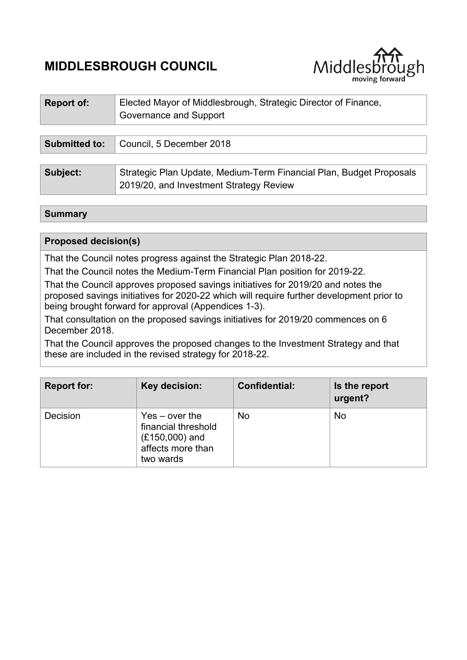# **MIDDLESBROUGH COUNCIL**



| <b>Report of:</b>    | Elected Mayor of Middlesbrough, Strategic Director of Finance,<br>Governance and Support                       |
|----------------------|----------------------------------------------------------------------------------------------------------------|
|                      |                                                                                                                |
| <b>Submitted to:</b> | Council, 5 December 2018                                                                                       |
|                      |                                                                                                                |
| Subject:             | Strategic Plan Update, Medium-Term Financial Plan, Budget Proposals<br>2019/20, and Investment Strategy Review |

## **Summary**

## **Proposed decision(s)**

That the Council notes progress against the Strategic Plan 2018-22.

That the Council notes the Medium-Term Financial Plan position for 2019-22.

That the Council approves proposed savings initiatives for 2019/20 and notes the proposed savings initiatives for 2020-22 which will require further development prior to being brought forward for approval (Appendices 1-3).

That consultation on the proposed savings initiatives for 2019/20 commences on 6 December 2018.

That the Council approves the proposed changes to the Investment Strategy and that these are included in the revised strategy for 2018-22.

| <b>Report for:</b> | Key decision:                                                                                 | <b>Confidential:</b> | Is the report<br>urgent? |
|--------------------|-----------------------------------------------------------------------------------------------|----------------------|--------------------------|
| Decision           | $Yes - over the$<br>financial threshold<br>$(E150,000)$ and<br>affects more than<br>two wards | <b>No</b>            | <b>No</b>                |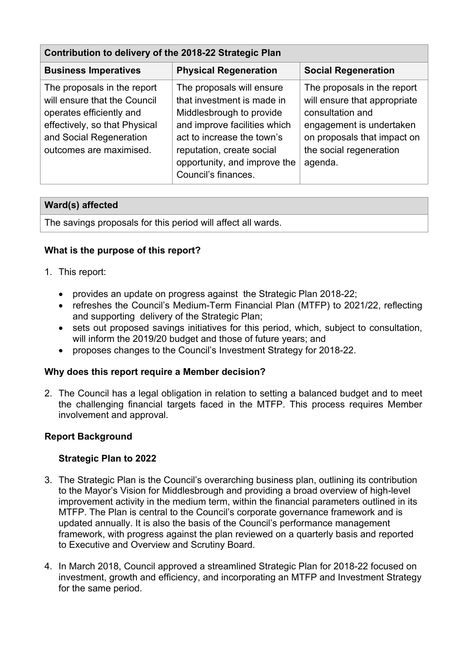| Contribution to delivery of the 2018-22 Strategic Plan                                                                                                                         |                                                                                                                                                                                                                                       |                                                                                                                                                                                  |  |  |  |
|--------------------------------------------------------------------------------------------------------------------------------------------------------------------------------|---------------------------------------------------------------------------------------------------------------------------------------------------------------------------------------------------------------------------------------|----------------------------------------------------------------------------------------------------------------------------------------------------------------------------------|--|--|--|
| <b>Business Imperatives</b>                                                                                                                                                    | <b>Physical Regeneration</b>                                                                                                                                                                                                          | <b>Social Regeneration</b>                                                                                                                                                       |  |  |  |
| The proposals in the report<br>will ensure that the Council<br>operates efficiently and<br>effectively, so that Physical<br>and Social Regeneration<br>outcomes are maximised. | The proposals will ensure<br>that investment is made in<br>Middlesbrough to provide<br>and improve facilities which<br>act to increase the town's<br>reputation, create social<br>opportunity, and improve the<br>Council's finances. | The proposals in the report<br>will ensure that appropriate<br>consultation and<br>engagement is undertaken<br>on proposals that impact on<br>the social regeneration<br>agenda. |  |  |  |

# **Ward(s) affected**

The savings proposals for this period will affect all wards.

# **What is the purpose of this report?**

- 1. This report:
	- provides an update on progress against the Strategic Plan 2018-22;
	- refreshes the Council's Medium-Term Financial Plan (MTFP) to 2021/22, reflecting and supporting delivery of the Strategic Plan;
	- sets out proposed savings initiatives for this period, which, subject to consultation, will inform the 2019/20 budget and those of future years; and
	- proposes changes to the Council's Investment Strategy for 2018-22.

# **Why does this report require a Member decision?**

2. The Council has a legal obligation in relation to setting a balanced budget and to meet the challenging financial targets faced in the MTFP. This process requires Member involvement and approval.

# **Report Background**

# **Strategic Plan to 2022**

- 3. The Strategic Plan is the Council's overarching business plan, outlining its contribution to the Mayor's Vision for Middlesbrough and providing a broad overview of high-level improvement activity in the medium term, within the financial parameters outlined in its MTFP. The Plan is central to the Council's corporate governance framework and is updated annually. It is also the basis of the Council's performance management framework, with progress against the plan reviewed on a quarterly basis and reported to Executive and Overview and Scrutiny Board.
- 4. In March 2018, Council approved a streamlined Strategic Plan for 2018-22 focused on investment, growth and efficiency, and incorporating an MTFP and Investment Strategy for the same period.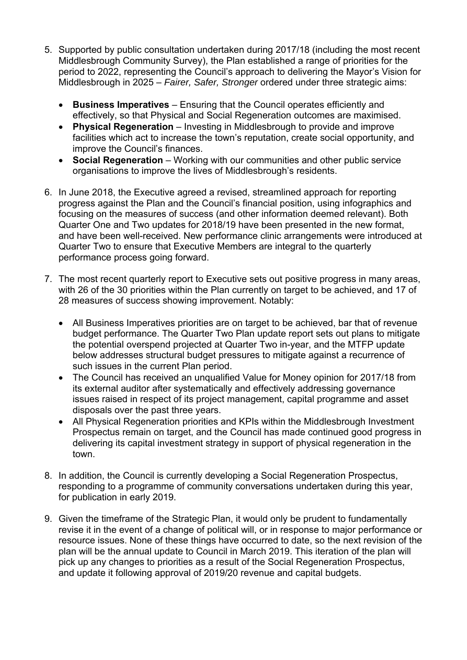- 5. Supported by public consultation undertaken during 2017/18 (including the most recent Middlesbrough Community Survey), the Plan established a range of priorities for the period to 2022, representing the Council's approach to delivering the Mayor's Vision for Middlesbrough in 2025 – *Fairer, Safer, Stronger* ordered under three strategic aims:
	- **Business Imperatives** Ensuring that the Council operates efficiently and effectively, so that Physical and Social Regeneration outcomes are maximised.
	- **Physical Regeneration** Investing in Middlesbrough to provide and improve facilities which act to increase the town's reputation, create social opportunity, and improve the Council's finances.
	- **Social Regeneration** Working with our communities and other public service organisations to improve the lives of Middlesbrough's residents.
- 6. In June 2018, the Executive agreed a revised, streamlined approach for reporting progress against the Plan and the Council's financial position, using infographics and focusing on the measures of success (and other information deemed relevant). Both Quarter One and Two updates for 2018/19 have been presented in the new format, and have been well-received. New performance clinic arrangements were introduced at Quarter Two to ensure that Executive Members are integral to the quarterly performance process going forward.
- 7. The most recent quarterly report to Executive sets out positive progress in many areas, with 26 of the 30 priorities within the Plan currently on target to be achieved, and 17 of 28 measures of success showing improvement. Notably:
	- All Business Imperatives priorities are on target to be achieved, bar that of revenue budget performance. The Quarter Two Plan update report sets out plans to mitigate the potential overspend projected at Quarter Two in-year, and the MTFP update below addresses structural budget pressures to mitigate against a recurrence of such issues in the current Plan period.
	- The Council has received an unqualified Value for Money opinion for 2017/18 from its external auditor after systematically and effectively addressing governance issues raised in respect of its project management, capital programme and asset disposals over the past three years.
	- All Physical Regeneration priorities and KPIs within the Middlesbrough Investment Prospectus remain on target, and the Council has made continued good progress in delivering its capital investment strategy in support of physical regeneration in the town.
- 8. In addition, the Council is currently developing a Social Regeneration Prospectus, responding to a programme of community conversations undertaken during this year, for publication in early 2019.
- 9. Given the timeframe of the Strategic Plan, it would only be prudent to fundamentally revise it in the event of a change of political will, or in response to major performance or resource issues. None of these things have occurred to date, so the next revision of the plan will be the annual update to Council in March 2019. This iteration of the plan will pick up any changes to priorities as a result of the Social Regeneration Prospectus, and update it following approval of 2019/20 revenue and capital budgets.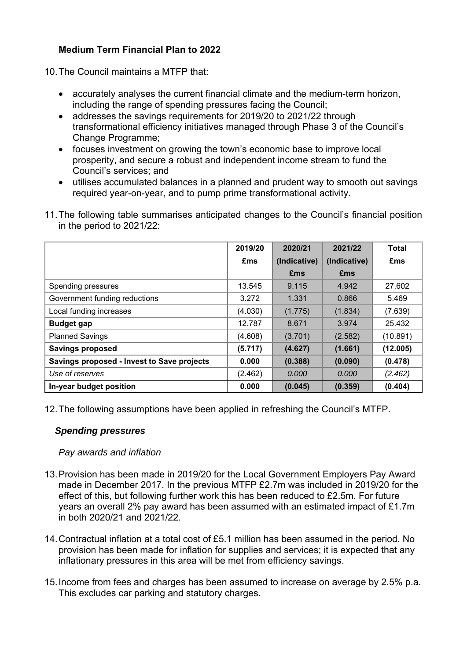# **Medium Term Financial Plan to 2022**

10. The Council maintains a MTFP that:

- accurately analyses the current financial climate and the medium-term horizon, including the range of spending pressures facing the Council;
- addresses the savings requirements for 2019/20 to 2021/22 through transformational efficiency initiatives managed through Phase 3 of the Council's Change Programme;
- focuses investment on growing the town's economic base to improve local prosperity, and secure a robust and independent income stream to fund the Council's services; and
- utilises accumulated balances in a planned and prudent way to smooth out savings required year-on-year, and to pump prime transformational activity.
- 11. The following table summarises anticipated changes to the Council's financial position in the period to 2021/22:

|                                            | 2019/20 | 2020/21      | 2021/22      | <b>Total</b> |
|--------------------------------------------|---------|--------------|--------------|--------------|
|                                            | £ms     | (Indicative) | (Indicative) | £ms          |
|                                            |         | £ms          | <b>£ms</b>   |              |
| Spending pressures                         | 13.545  | 9.115        | 4.942        | 27.602       |
| Government funding reductions              | 3.272   | 1.331        | 0.866        | 5.469        |
| Local funding increases                    | (4.030) | (1.775)      | (1.834)      | (7.639)      |
| <b>Budget gap</b>                          | 12.787  | 8.671        | 3.974        | 25.432       |
| <b>Planned Savings</b>                     | (4.608) | (3.701)      | (2.582)      | (10.891)     |
| <b>Savings proposed</b>                    | (5.717) | (4.627)      | (1.661)      | (12.005)     |
| Savings proposed - Invest to Save projects | 0.000   | (0.388)      | (0.090)      | (0.478)      |
| Use of reserves                            | (2.462) | 0.000        | 0.000        | (2.462)      |
| In-year budget position                    | 0.000   | (0.045)      | (0.359)      | (0.404)      |

12. The following assumptions have been applied in refreshing the Council's MTFP.

# *Spending pressures*

#### *Pay awards and inflation*

- 13. Provision has been made in 2019/20 for the Local Government Employers Pay Award made in December 2017. In the previous MTFP £2.7m was included in 2019/20 for the effect of this, but following further work this has been reduced to £2.5m. For future years an overall 2% pay award has been assumed with an estimated impact of £1.7m in both 2020/21 and 2021/22.
- 14. Contractual inflation at a total cost of £5.1 million has been assumed in the period. No provision has been made for inflation for supplies and services; it is expected that any inflationary pressures in this area will be met from efficiency savings.
- 15. Income from fees and charges has been assumed to increase on average by 2.5% p.a. This excludes car parking and statutory charges.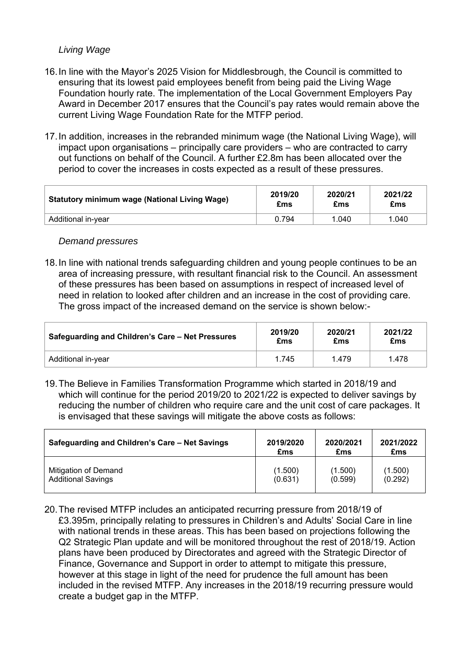## *Living Wage*

- 16. In line with the Mayor's 2025 Vision for Middlesbrough, the Council is committed to ensuring that its lowest paid employees benefit from being paid the Living Wage Foundation hourly rate. The implementation of the Local Government Employers Pay Award in December 2017 ensures that the Council's pay rates would remain above the current Living Wage Foundation Rate for the MTFP period.
- 17. In addition, increases in the rebranded minimum wage (the National Living Wage), will impact upon organisations – principally care providers – who are contracted to carry out functions on behalf of the Council. A further £2.8m has been allocated over the period to cover the increases in costs expected as a result of these pressures.

| <b>Statutory minimum wage (National Living Wage)</b> | 2019/20 | 2020/21 | 2021/22 |
|------------------------------------------------------|---------|---------|---------|
|                                                      | £ms     | £ms     | £ms     |
| Additional in-vear                                   | 0.794   | 1.040   | 1.040   |

#### *Demand pressures*

18. In line with national trends safeguarding children and young people continues to be an area of increasing pressure, with resultant financial risk to the Council. An assessment of these pressures has been based on assumptions in respect of increased level of need in relation to looked after children and an increase in the cost of providing care. The gross impact of the increased demand on the service is shown below:-

| Safeguarding and Children's Care - Net Pressures | 2019/20 | 2020/21 | 2021/22 |
|--------------------------------------------------|---------|---------|---------|
|                                                  | £ms     | £ms     | £ms     |
| Additional in-year                               | 1.745   | 1.479   | 1.478   |

19. The Believe in Families Transformation Programme which started in 2018/19 and which will continue for the period 2019/20 to 2021/22 is expected to deliver savings by reducing the number of children who require care and the unit cost of care packages. It is envisaged that these savings will mitigate the above costs as follows:

| Safeguarding and Children's Care - Net Savings | 2019/2020 | 2020/2021 | 2021/2022 |
|------------------------------------------------|-----------|-----------|-----------|
|                                                | £ms       | £ms       | £ms       |
| <b>Mitigation of Demand</b>                    | (1.500)   | (1.500)   | (1.500)   |
| <b>Additional Savings</b>                      | (0.631)   | (0.599)   | (0.292)   |

20. The revised MTFP includes an anticipated recurring pressure from 2018/19 of £3.395m, principally relating to pressures in Children's and Adults' Social Care in line with national trends in these areas. This has been based on projections following the Q2 Strategic Plan update and will be monitored throughout the rest of 2018/19. Action plans have been produced by Directorates and agreed with the Strategic Director of Finance, Governance and Support in order to attempt to mitigate this pressure, however at this stage in light of the need for prudence the full amount has been included in the revised MTFP. Any increases in the 2018/19 recurring pressure would create a budget gap in the MTFP.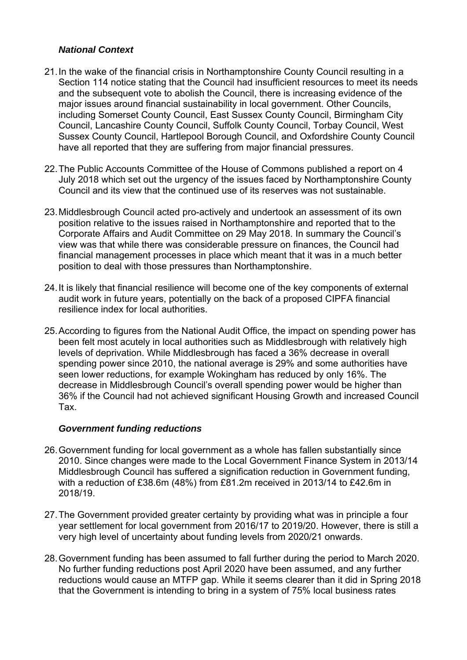# *National Context*

- 21. In the wake of the financial crisis in Northamptonshire County Council resulting in a Section 114 notice stating that the Council had insufficient resources to meet its needs and the subsequent vote to abolish the Council, there is increasing evidence of the major issues around financial sustainability in local government. Other Councils, including Somerset County Council, East Sussex County Council, Birmingham City Council, Lancashire County Council, Suffolk County Council, Torbay Council, West Sussex County Council, Hartlepool Borough Council, and Oxfordshire County Council have all reported that they are suffering from major financial pressures.
- 22. The Public Accounts Committee of the House of Commons published a report on 4 July 2018 which set out the urgency of the issues faced by Northamptonshire County Council and its view that the continued use of its reserves was not sustainable.
- 23. Middlesbrough Council acted pro-actively and undertook an assessment of its own position relative to the issues raised in Northamptonshire and reported that to the Corporate Affairs and Audit Committee on 29 May 2018. In summary the Council's view was that while there was considerable pressure on finances, the Council had financial management processes in place which meant that it was in a much better position to deal with those pressures than Northamptonshire.
- 24. It is likely that financial resilience will become one of the key components of external audit work in future years, potentially on the back of a proposed CIPFA financial resilience index for local authorities.
- 25. According to figures from the National Audit Office, the impact on spending power has been felt most acutely in local authorities such as Middlesbrough with relatively high levels of deprivation. While Middlesbrough has faced a 36% decrease in overall spending power since 2010, the national average is 29% and some authorities have seen lower reductions, for example Wokingham has reduced by only 16%. The decrease in Middlesbrough Council's overall spending power would be higher than 36% if the Council had not achieved significant Housing Growth and increased Council Tax.

#### *Government funding reductions*

- 26. Government funding for local government as a whole has fallen substantially since 2010. Since changes were made to the Local Government Finance System in 2013/14 Middlesbrough Council has suffered a signification reduction in Government funding, with a reduction of £38.6m (48%) from £81.2m received in 2013/14 to £42.6m in 2018/19.
- 27. The Government provided greater certainty by providing what was in principle a four year settlement for local government from 2016/17 to 2019/20. However, there is still a very high level of uncertainty about funding levels from 2020/21 onwards.
- 28. Government funding has been assumed to fall further during the period to March 2020. No further funding reductions post April 2020 have been assumed, and any further reductions would cause an MTFP gap. While it seems clearer than it did in Spring 2018 that the Government is intending to bring in a system of 75% local business rates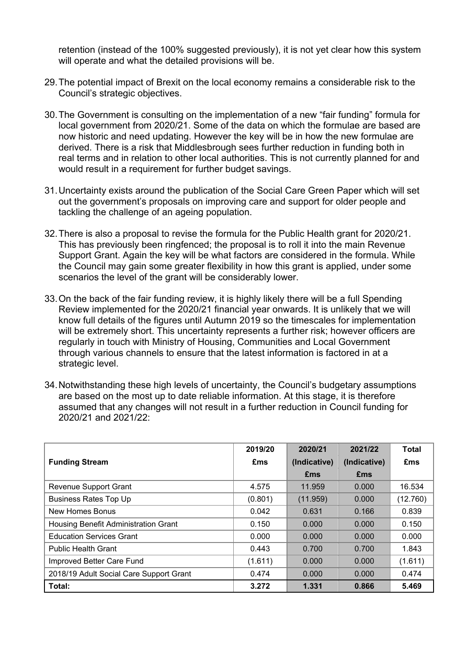retention (instead of the 100% suggested previously), it is not yet clear how this system will operate and what the detailed provisions will be.

- 29. The potential impact of Brexit on the local economy remains a considerable risk to the Council's strategic objectives.
- 30. The Government is consulting on the implementation of a new "fair funding" formula for local government from 2020/21. Some of the data on which the formulae are based are now historic and need updating. However the key will be in how the new formulae are derived. There is a risk that Middlesbrough sees further reduction in funding both in real terms and in relation to other local authorities. This is not currently planned for and would result in a requirement for further budget savings.
- 31. Uncertainty exists around the publication of the Social Care Green Paper which will set out the government's proposals on improving care and support for older people and tackling the challenge of an ageing population.
- 32. There is also a proposal to revise the formula for the Public Health grant for 2020/21. This has previously been ringfenced; the proposal is to roll it into the main Revenue Support Grant. Again the key will be what factors are considered in the formula. While the Council may gain some greater flexibility in how this grant is applied, under some scenarios the level of the grant will be considerably lower.
- 33. On the back of the fair funding review, it is highly likely there will be a full Spending Review implemented for the 2020/21 financial year onwards. It is unlikely that we will know full details of the figures until Autumn 2019 so the timescales for implementation will be extremely short. This uncertainty represents a further risk; however officers are regularly in touch with Ministry of Housing, Communities and Local Government through various channels to ensure that the latest information is factored in at a strategic level.
- 34. Notwithstanding these high levels of uncertainty, the Council's budgetary assumptions are based on the most up to date reliable information. At this stage, it is therefore assumed that any changes will not result in a further reduction in Council funding for 2020/21 and 2021/22:

|                                         | 2019/20 | 2020/21      | 2021/22      | <b>Total</b> |
|-----------------------------------------|---------|--------------|--------------|--------------|
| <b>Funding Stream</b>                   | £ms     | (Indicative) | (Indicative) | £ms          |
|                                         |         | £ms          | <b>£ms</b>   |              |
| <b>Revenue Support Grant</b>            | 4.575   | 11.959       | 0.000        | 16.534       |
| <b>Business Rates Top Up</b>            | (0.801) | (11.959)     | 0.000        | (12.760)     |
| <b>New Homes Bonus</b>                  | 0.042   | 0.631        | 0.166        | 0.839        |
| Housing Benefit Administration Grant    | 0.150   | 0.000        | 0.000        | 0.150        |
| <b>Education Services Grant</b>         | 0.000   | 0.000        | 0.000        | 0.000        |
| <b>Public Health Grant</b>              | 0.443   | 0.700        | 0.700        | 1.843        |
| Improved Better Care Fund               | (1.611) | 0.000        | 0.000        | (1.611)      |
| 2018/19 Adult Social Care Support Grant | 0.474   | 0.000        | 0.000        | 0.474        |
| Total:                                  | 3.272   | 1.331        | 0.866        | 5.469        |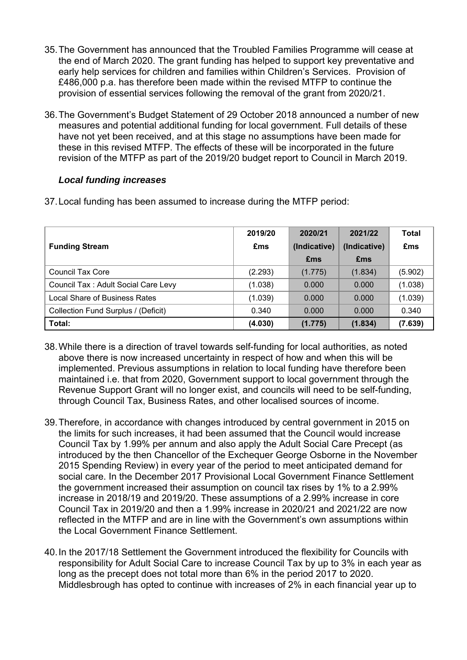- 35. The Government has announced that the Troubled Families Programme will cease at the end of March 2020. The grant funding has helped to support key preventative and early help services for children and families within Children's Services. Provision of £486,000 p.a. has therefore been made within the revised MTFP to continue the provision of essential services following the removal of the grant from 2020/21.
- 36. The Government's Budget Statement of 29 October 2018 announced a number of new measures and potential additional funding for local government. Full details of these have not yet been received, and at this stage no assumptions have been made for these in this revised MTFP. The effects of these will be incorporated in the future revision of the MTFP as part of the 2019/20 budget report to Council in March 2019.

## *Local funding increases*

| 37. Local funding has been assumed to increase during the MTFP period: |  |  |
|------------------------------------------------------------------------|--|--|
|------------------------------------------------------------------------|--|--|

|                                     | 2019/20 | 2020/21      | 2021/22      | <b>Total</b> |
|-------------------------------------|---------|--------------|--------------|--------------|
| <b>Funding Stream</b>               | £ms     | (Indicative) | (Indicative) | £ms          |
|                                     |         | <b>£ms</b>   | <b>£ms</b>   |              |
| Council Tax Core                    | (2.293) | (1.775)      | (1.834)      | (5.902)      |
| Council Tax: Adult Social Care Levy | (1.038) | 0.000        | 0.000        | (1.038)      |
| Local Share of Business Rates       | (1.039) | 0.000        | 0.000        | (1.039)      |
| Collection Fund Surplus / (Deficit) | 0.340   | 0.000        | 0.000        | 0.340        |
| Total:                              | (4.030) | (1.775)      | (1.834)      | (7.639)      |

- 38. While there is a direction of travel towards self-funding for local authorities, as noted above there is now increased uncertainty in respect of how and when this will be implemented. Previous assumptions in relation to local funding have therefore been maintained i.e. that from 2020, Government support to local government through the Revenue Support Grant will no longer exist, and councils will need to be self-funding, through Council Tax, Business Rates, and other localised sources of income.
- 39. Therefore, in accordance with changes introduced by central government in 2015 on the limits for such increases, it had been assumed that the Council would increase Council Tax by 1.99% per annum and also apply the Adult Social Care Precept (as introduced by the then Chancellor of the Exchequer George Osborne in the November 2015 Spending Review) in every year of the period to meet anticipated demand for social care. In the December 2017 Provisional Local Government Finance Settlement the government increased their assumption on council tax rises by 1% to a 2.99% increase in 2018/19 and 2019/20. These assumptions of a 2.99% increase in core Council Tax in 2019/20 and then a 1.99% increase in 2020/21 and 2021/22 are now reflected in the MTFP and are in line with the Government's own assumptions within the Local Government Finance Settlement.
- 40. In the 2017/18 Settlement the Government introduced the flexibility for Councils with responsibility for Adult Social Care to increase Council Tax by up to 3% in each year as long as the precept does not total more than 6% in the period 2017 to 2020. Middlesbrough has opted to continue with increases of 2% in each financial year up to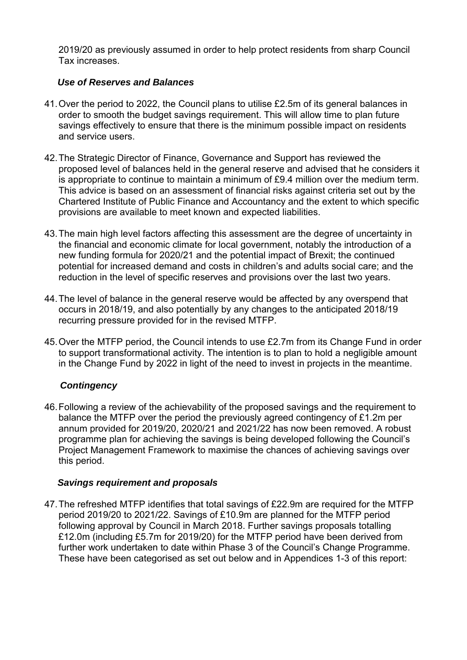2019/20 as previously assumed in order to help protect residents from sharp Council Tax increases.

## *Use of Reserves and Balances*

- 41. Over the period to 2022, the Council plans to utilise £2.5m of its general balances in order to smooth the budget savings requirement. This will allow time to plan future savings effectively to ensure that there is the minimum possible impact on residents and service users.
- 42. The Strategic Director of Finance, Governance and Support has reviewed the proposed level of balances held in the general reserve and advised that he considers it is appropriate to continue to maintain a minimum of £9.4 million over the medium term. This advice is based on an assessment of financial risks against criteria set out by the Chartered Institute of Public Finance and Accountancy and the extent to which specific provisions are available to meet known and expected liabilities.
- 43. The main high level factors affecting this assessment are the degree of uncertainty in the financial and economic climate for local government, notably the introduction of a new funding formula for 2020/21 and the potential impact of Brexit; the continued potential for increased demand and costs in children's and adults social care; and the reduction in the level of specific reserves and provisions over the last two years.
- 44. The level of balance in the general reserve would be affected by any overspend that occurs in 2018/19, and also potentially by any changes to the anticipated 2018/19 recurring pressure provided for in the revised MTFP.
- 45. Over the MTFP period, the Council intends to use £2.7m from its Change Fund in order to support transformational activity. The intention is to plan to hold a negligible amount in the Change Fund by 2022 in light of the need to invest in projects in the meantime.

# *Contingency*

46. Following a review of the achievability of the proposed savings and the requirement to balance the MTFP over the period the previously agreed contingency of £1.2m per annum provided for 2019/20, 2020/21 and 2021/22 has now been removed. A robust programme plan for achieving the savings is being developed following the Council's Project Management Framework to maximise the chances of achieving savings over this period.

#### *Savings requirement and proposals*

47. The refreshed MTFP identifies that total savings of £22.9m are required for the MTFP period 2019/20 to 2021/22. Savings of £10.9m are planned for the MTFP period following approval by Council in March 2018. Further savings proposals totalling £12.0m (including £5.7m for 2019/20) for the MTFP period have been derived from further work undertaken to date within Phase 3 of the Council's Change Programme. These have been categorised as set out below and in Appendices 1-3 of this report: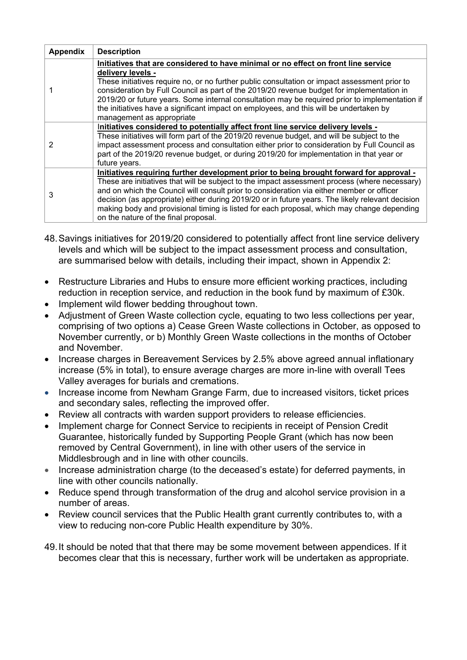| <b>Appendix</b> | <b>Description</b>                                                                                                                                                                                                                                                                                                                                                                                                                                                                                                              |
|-----------------|---------------------------------------------------------------------------------------------------------------------------------------------------------------------------------------------------------------------------------------------------------------------------------------------------------------------------------------------------------------------------------------------------------------------------------------------------------------------------------------------------------------------------------|
|                 | Initiatives that are considered to have minimal or no effect on front line service<br>delivery levels -<br>These initiatives require no, or no further public consultation or impact assessment prior to<br>consideration by Full Council as part of the 2019/20 revenue budget for implementation in<br>2019/20 or future years. Some internal consultation may be required prior to implementation if<br>the initiatives have a significant impact on employees, and this will be undertaken by<br>management as appropriate  |
|                 | Initiatives considered to potentially affect front line service delivery levels -<br>These initiatives will form part of the 2019/20 revenue budget, and will be subject to the<br>impact assessment process and consultation either prior to consideration by Full Council as<br>part of the 2019/20 revenue budget, or during 2019/20 for implementation in that year or<br>future years.                                                                                                                                     |
| 3               | Initiatives requiring further development prior to being brought forward for approval -<br>These are initiatives that will be subject to the impact assessment process (where necessary)<br>and on which the Council will consult prior to consideration via either member or officer<br>decision (as appropriate) either during 2019/20 or in future years. The likely relevant decision<br>making body and provisional timing is listed for each proposal, which may change depending<br>on the nature of the final proposal. |

- 48. Savings initiatives for 2019/20 considered to potentially affect front line service delivery levels and which will be subject to the impact assessment process and consultation, are summarised below with details, including their impact, shown in Appendix 2:
- Restructure Libraries and Hubs to ensure more efficient working practices, including reduction in reception service, and reduction in the book fund by maximum of £30k.
- Implement wild flower bedding throughout town.
- Adjustment of Green Waste collection cycle, equating to two less collections per year, comprising of two options a) Cease Green Waste collections in October, as opposed to November currently, or b) Monthly Green Waste collections in the months of October and November.
- Increase charges in Bereavement Services by 2.5% above agreed annual inflationary increase (5% in total), to ensure average charges are more in-line with overall Tees Valley averages for burials and cremations.
- Increase income from Newham Grange Farm, due to increased visitors, ticket prices and secondary sales, reflecting the improved offer.
- Review all contracts with warden support providers to release efficiencies.
- Implement charge for Connect Service to recipients in receipt of Pension Credit Guarantee, historically funded by Supporting People Grant (which has now been removed by Central Government), in line with other users of the service in Middlesbrough and in line with other councils.
- Increase administration charge (to the deceased's estate) for deferred payments, in line with other councils nationally.
- Reduce spend through transformation of the drug and alcohol service provision in a number of areas.
- Review council services that the Public Health grant currently contributes to, with a view to reducing non-core Public Health expenditure by 30%.
- 49. It should be noted that that there may be some movement between appendices. If it becomes clear that this is necessary, further work will be undertaken as appropriate.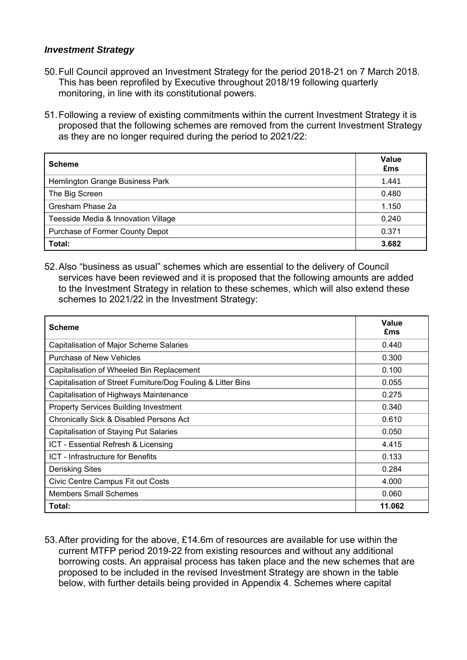#### *Investment Strategy*

- 50. Full Council approved an Investment Strategy for the period 2018-21 on 7 March 2018. This has been reprofiled by Executive throughout 2018/19 following quarterly monitoring, in line with its constitutional powers.
- 51. Following a review of existing commitments within the current Investment Strategy it is proposed that the following schemes are removed from the current Investment Strategy as they are no longer required during the period to 2021/22:

| <b>Scheme</b>                       | Value<br>£ms |
|-------------------------------------|--------------|
| Hemlington Grange Business Park     | 1.441        |
| The Big Screen                      | 0.480        |
| Gresham Phase 2a                    | 1.150        |
| Teesside Media & Innovation Village | 0.240        |
| Purchase of Former County Depot     | 0.371        |
| Total:                              | 3.682        |

52. Also "business as usual" schemes which are essential to the delivery of Council services have been reviewed and it is proposed that the following amounts are added to the Investment Strategy in relation to these schemes, which will also extend these schemes to 2021/22 in the Investment Strategy:

| <b>Scheme</b>                                                | Value<br>£ms |
|--------------------------------------------------------------|--------------|
| Capitalisation of Major Scheme Salaries                      | 0.440        |
| <b>Purchase of New Vehicles</b>                              | 0.300        |
| Capitalisation of Wheeled Bin Replacement                    | 0.100        |
| Capitalisation of Street Furniture/Dog Fouling & Litter Bins | 0.055        |
| Capitalisation of Highways Maintenance                       | 0.275        |
| <b>Property Services Building Investment</b>                 | 0.340        |
| Chronically Sick & Disabled Persons Act                      | 0.610        |
| <b>Capitalisation of Staying Put Salaries</b>                | 0.050        |
| ICT - Essential Refresh & Licensing                          | 4.415        |
| ICT - Infrastructure for Benefits                            | 0.133        |
| <b>Derisking Sites</b>                                       | 0.284        |
| Civic Centre Campus Fit out Costs                            | 4.000        |
| <b>Members Small Schemes</b>                                 | 0.060        |
| Total:                                                       | 11.062       |

53. After providing for the above, £14.6m of resources are available for use within the current MTFP period 2019-22 from existing resources and without any additional borrowing costs. An appraisal process has taken place and the new schemes that are proposed to be included in the revised Investment Strategy are shown in the table below, with further details being provided in Appendix 4. Schemes where capital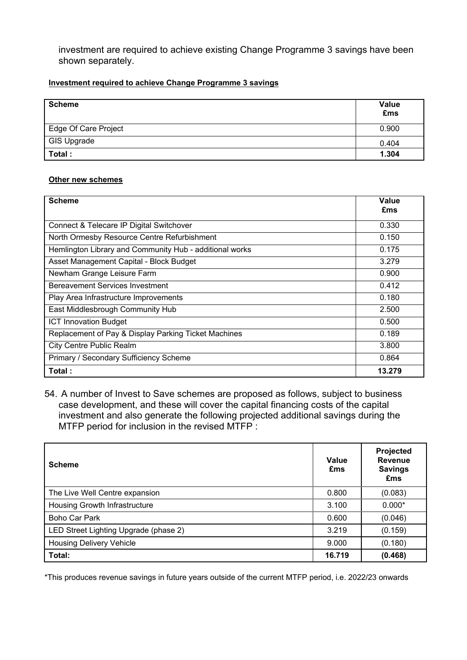investment are required to achieve existing Change Programme 3 savings have been shown separately.

#### **Investment required to achieve Change Programme 3 savings**

| <b>Scheme</b>        | Value<br>£ms |
|----------------------|--------------|
| Edge Of Care Project | 0.900        |
| GIS Upgrade          | 0.404        |
| Total:               | 1.304        |

#### **Other new schemes**

| <b>Scheme</b>                                           | Value<br>£ms |
|---------------------------------------------------------|--------------|
| Connect & Telecare IP Digital Switchover                | 0.330        |
| North Ormesby Resource Centre Refurbishment             | 0.150        |
| Hemlington Library and Community Hub - additional works | 0.175        |
| Asset Management Capital - Block Budget                 | 3.279        |
| Newham Grange Leisure Farm                              | 0.900        |
| <b>Bereavement Services Investment</b>                  | 0.412        |
| Play Area Infrastructure Improvements                   | 0.180        |
| East Middlesbrough Community Hub                        | 2.500        |
| <b>ICT Innovation Budget</b>                            | 0.500        |
| Replacement of Pay & Display Parking Ticket Machines    | 0.189        |
| <b>City Centre Public Realm</b>                         | 3.800        |
| Primary / Secondary Sufficiency Scheme                  | 0.864        |
| Total :                                                 | 13.279       |

54. A number of Invest to Save schemes are proposed as follows, subject to business case development, and these will cover the capital financing costs of the capital investment and also generate the following projected additional savings during the MTFP period for inclusion in the revised MTFP :

| <b>Scheme</b>                         | Value<br>£ms | <b>Projected</b><br><b>Revenue</b><br><b>Savings</b><br>£ms |
|---------------------------------------|--------------|-------------------------------------------------------------|
| The Live Well Centre expansion        | 0.800        | (0.083)                                                     |
| Housing Growth Infrastructure         | 3.100        | $0.000*$                                                    |
| <b>Boho Car Park</b>                  | 0.600        | (0.046)                                                     |
| LED Street Lighting Upgrade (phase 2) | 3.219        | (0.159)                                                     |
| <b>Housing Delivery Vehicle</b>       | 9.000        | (0.180)                                                     |
| <b>Total:</b>                         | 16.719       | (0.468)                                                     |

\*This produces revenue savings in future years outside of the current MTFP period, i.e. 2022/23 onwards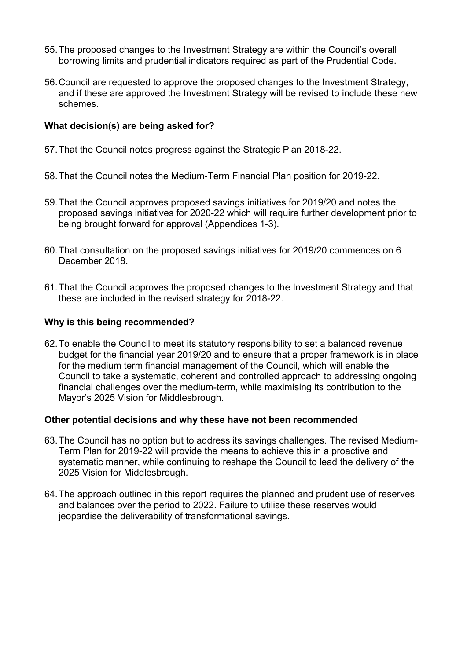- 55. The proposed changes to the Investment Strategy are within the Council's overall borrowing limits and prudential indicators required as part of the Prudential Code.
- 56. Council are requested to approve the proposed changes to the Investment Strategy, and if these are approved the Investment Strategy will be revised to include these new schemes.

## **What decision(s) are being asked for?**

- 57. That the Council notes progress against the Strategic Plan 2018-22.
- 58. That the Council notes the Medium-Term Financial Plan position for 2019-22.
- 59. That the Council approves proposed savings initiatives for 2019/20 and notes the proposed savings initiatives for 2020-22 which will require further development prior to being brought forward for approval (Appendices 1-3).
- 60. That consultation on the proposed savings initiatives for 2019/20 commences on 6 December 2018.
- 61. That the Council approves the proposed changes to the Investment Strategy and that these are included in the revised strategy for 2018-22.

#### **Why is this being recommended?**

62. To enable the Council to meet its statutory responsibility to set a balanced revenue budget for the financial year 2019/20 and to ensure that a proper framework is in place for the medium term financial management of the Council, which will enable the Council to take a systematic, coherent and controlled approach to addressing ongoing financial challenges over the medium-term, while maximising its contribution to the Mayor's 2025 Vision for Middlesbrough.

#### **Other potential decisions and why these have not been recommended**

- 63. The Council has no option but to address its savings challenges. The revised Medium-Term Plan for 2019-22 will provide the means to achieve this in a proactive and systematic manner, while continuing to reshape the Council to lead the delivery of the 2025 Vision for Middlesbrough.
- 64. The approach outlined in this report requires the planned and prudent use of reserves and balances over the period to 2022. Failure to utilise these reserves would jeopardise the deliverability of transformational savings.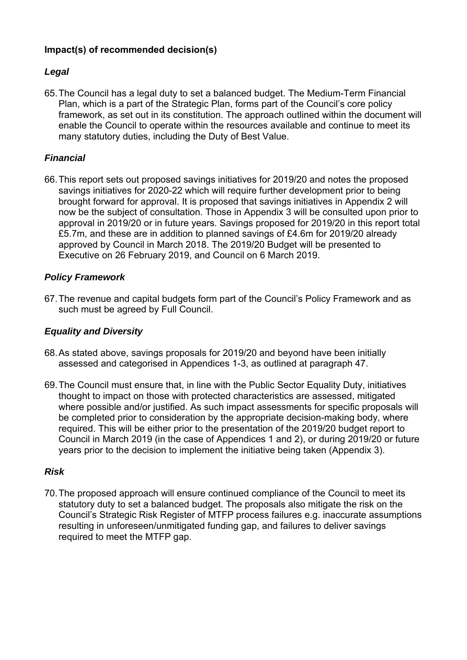# **Impact(s) of recommended decision(s)**

# *Legal*

65. The Council has a legal duty to set a balanced budget. The Medium-Term Financial Plan, which is a part of the Strategic Plan, forms part of the Council's core policy framework, as set out in its constitution. The approach outlined within the document will enable the Council to operate within the resources available and continue to meet its many statutory duties, including the Duty of Best Value.

# *Financial*

66. This report sets out proposed savings initiatives for 2019/20 and notes the proposed savings initiatives for 2020-22 which will require further development prior to being brought forward for approval. It is proposed that savings initiatives in Appendix 2 will now be the subject of consultation. Those in Appendix 3 will be consulted upon prior to approval in 2019/20 or in future years. Savings proposed for 2019/20 in this report total £5.7m, and these are in addition to planned savings of £4.6m for 2019/20 already approved by Council in March 2018. The 2019/20 Budget will be presented to Executive on 26 February 2019, and Council on 6 March 2019.

# *Policy Framework*

67. The revenue and capital budgets form part of the Council's Policy Framework and as such must be agreed by Full Council.

# *Equality and Diversity*

- 68. As stated above, savings proposals for 2019/20 and beyond have been initially assessed and categorised in Appendices 1-3, as outlined at paragraph 47.
- 69. The Council must ensure that, in line with the Public Sector Equality Duty, initiatives thought to impact on those with protected characteristics are assessed, mitigated where possible and/or justified. As such impact assessments for specific proposals will be completed prior to consideration by the appropriate decision-making body, where required. This will be either prior to the presentation of the 2019/20 budget report to Council in March 2019 (in the case of Appendices 1 and 2), or during 2019/20 or future years prior to the decision to implement the initiative being taken (Appendix 3).

# *Risk*

70. The proposed approach will ensure continued compliance of the Council to meet its statutory duty to set a balanced budget. The proposals also mitigate the risk on the Council's Strategic Risk Register of MTFP process failures e.g. inaccurate assumptions resulting in unforeseen/unmitigated funding gap, and failures to deliver savings required to meet the MTFP gap.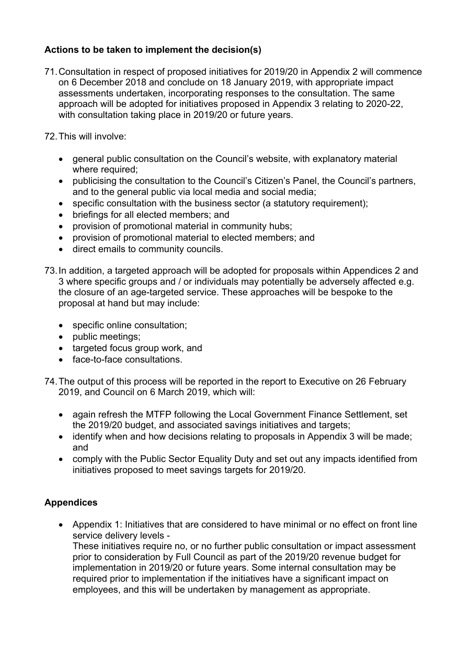# **Actions to be taken to implement the decision(s)**

71. Consultation in respect of proposed initiatives for 2019/20 in Appendix 2 will commence on 6 December 2018 and conclude on 18 January 2019, with appropriate impact assessments undertaken, incorporating responses to the consultation. The same approach will be adopted for initiatives proposed in Appendix 3 relating to 2020-22, with consultation taking place in 2019/20 or future years.

72. This will involve:

- general public consultation on the Council's website, with explanatory material where required;
- publicising the consultation to the Council's Citizen's Panel, the Council's partners, and to the general public via local media and social media;
- specific consultation with the business sector (a statutory requirement):
- briefings for all elected members; and
- provision of promotional material in community hubs;
- provision of promotional material to elected members; and
- direct emails to community councils.
- 73. In addition, a targeted approach will be adopted for proposals within Appendices 2 and 3 where specific groups and / or individuals may potentially be adversely affected e.g. the closure of an age-targeted service. These approaches will be bespoke to the proposal at hand but may include:
	- specific online consultation;
	- public meetings;
	- targeted focus group work, and
	- face-to-face consultations.
- 74. The output of this process will be reported in the report to Executive on 26 February 2019, and Council on 6 March 2019, which will:
	- again refresh the MTFP following the Local Government Finance Settlement, set the 2019/20 budget, and associated savings initiatives and targets;
	- identify when and how decisions relating to proposals in Appendix 3 will be made; and
	- comply with the Public Sector Equality Duty and set out any impacts identified from initiatives proposed to meet savings targets for 2019/20.

# **Appendices**

 Appendix 1: Initiatives that are considered to have minimal or no effect on front line service delivery levels -

These initiatives require no, or no further public consultation or impact assessment prior to consideration by Full Council as part of the 2019/20 revenue budget for implementation in 2019/20 or future years. Some internal consultation may be required prior to implementation if the initiatives have a significant impact on employees, and this will be undertaken by management as appropriate.